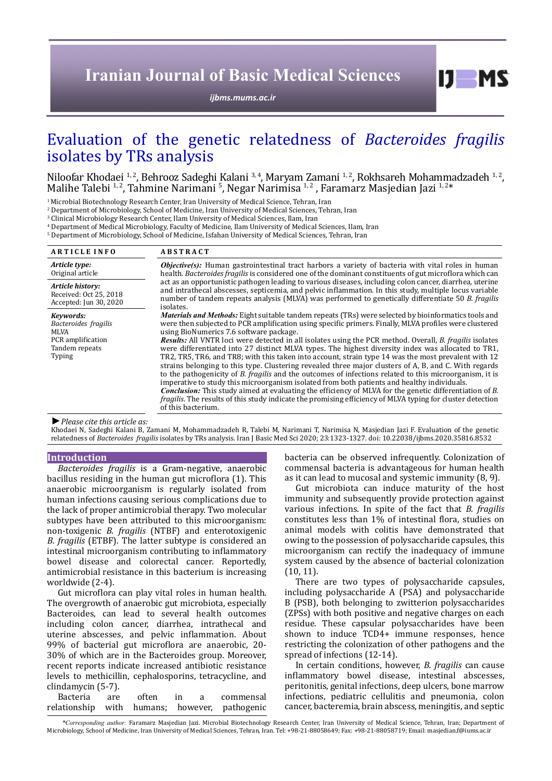# **Iranian Journal of Basic Medical Sciences**

*[ijbms.mums.ac.ir](http://ijbms.mums.ac.ir)*

# Evaluation of the genetic relatedness of *Bacteroides fragilis* isolates by TRs analysis

Niloofar Khodaei <sup>1, 2</sup>, Behrooz Sadeghi Kalani <sup>3, 4</sup>, Maryam Zamani <sup>1, 2</sup>, Rokhsareh Mohammadzadeh <sup>1, 2</sup>, Malihe Talebi <sup>1, 2</sup>, Tahmine Narimani <sup>5</sup>, Negar Narimisa <sup>1, 2</sup>, Tahmine Narimani 5, Negar Narimisa <sup>1, 2</sup>, Fa

<sup>1</sup> Microbial Biotechnology Research Center, Iran University of Medical Science, Tehran, Iran

2 Department of Microbiology, School of Medicine, Iran University of Medical Sciences, Tehran, Iran

3 Clinical Microbiology Research Center, Ilam University of Medical Sciences, Ilam, Iran

4 Department of Medical Microbiology, Faculty of Medicine, Ilam University of Medical Sciences, Ilam, Iran

5 Department of Microbiology, School of Medicine, Isfahan University of Medical Sciences, Tehran, Iran

| <b>ARTICLE INFO</b>                                                                               | <b>ABSTRACT</b>                                                                                                                                                                                                                                                                                                                                                                                                                                                                                                                                                                                                                                                                                                                                                                                                                                                                                                                                                                                                                                                                                                                                             |
|---------------------------------------------------------------------------------------------------|-------------------------------------------------------------------------------------------------------------------------------------------------------------------------------------------------------------------------------------------------------------------------------------------------------------------------------------------------------------------------------------------------------------------------------------------------------------------------------------------------------------------------------------------------------------------------------------------------------------------------------------------------------------------------------------------------------------------------------------------------------------------------------------------------------------------------------------------------------------------------------------------------------------------------------------------------------------------------------------------------------------------------------------------------------------------------------------------------------------------------------------------------------------|
| Article type:<br>Original article                                                                 | <b><i>Objective(s)</i></b> : Human gastrointestinal tract harbors a variety of bacteria with vital roles in human<br>health. Bacteroides fragilis is considered one of the dominant constituents of gut microflora which can                                                                                                                                                                                                                                                                                                                                                                                                                                                                                                                                                                                                                                                                                                                                                                                                                                                                                                                                |
| Article history:<br>Received: Oct 25, 2018<br>Accepted: Jun 30, 2020                              | act as an opportunistic pathogen leading to various diseases, including colon cancer, diarrhea, uterine<br>and intrathecal abscesses, septicemia, and pelvic inflammation. In this study, multiple locus variable<br>number of tandem repeats analysis (MLVA) was performed to genetically differentiate 50 B. fragilis<br>isolates.                                                                                                                                                                                                                                                                                                                                                                                                                                                                                                                                                                                                                                                                                                                                                                                                                        |
| Keywords:<br>Bacteroides fragilis<br>MLVA<br>PCR amplification<br>Tandem repeats<br><b>Typing</b> | Materials and Methods: Eight suitable tandem repeats (TRs) were selected by bioinformatics tools and<br>were then subjected to PCR amplification using specific primers. Finally, MLVA profiles were clustered<br>using BioNumerics 7.6 software package.<br>Results: All VNTR loci were detected in all isolates using the PCR method. Overall, B. fragilis isolates<br>were differentiated into 27 distinct MLVA types. The highest diversity index was allocated to TR1,<br>TR2, TR5, TR6, and TR8; with this taken into account, strain type 14 was the most prevalent with 12<br>strains belonging to this type. Clustering revealed three major clusters of A, B, and C. With regards<br>to the pathogenicity of B. fragilis and the outcomes of infections related to this microorganism, it is<br>imperative to study this microorganism isolated from both patients and healthy individuals.<br><b>Conclusion:</b> This study aimed at evaluating the efficiency of MLVA for the genetic differentiation of B.<br>fragilis. The results of this study indicate the promising efficiency of MLVA typing for cluster detection<br>of this bacterium. |

*►Please cite this article as:*

Khodaei N, Sadeghi Kalani B, Zamani M, Mohammadzadeh R, Talebi M, Narimani T, Narimisa N, Masjedian Jazi F. Evaluation of the genetic relatedness of *Bacteroides fragilis* isolates by TRs analysis. Iran J Basic Med Sci 2020; 23:1323-1327. doi: 10.22038/ijbms.2020.35816.8532

#### **Introduction**

*Bacteroides fragilis* is a Gram-negative, anaerobic bacillus residing in the human gut microflora (1). This anaerobic microorganism is regularly isolated from human infections causing serious complications due to the lack of proper antimicrobial therapy. Two molecular subtypes have been attributed to this microorganism: non-toxigenic *B. fragilis* (NTBF) and enterotoxigenic *B. fragilis* (ETBF). The latter subtype is considered an intestinal microorganism contributing to inflammatory bowel disease and colorectal cancer. Reportedly, antimicrobial resistance in this bacterium is increasing worldwide (2-4).

Gut microflora can play vital roles in human health. The overgrowth of anaerobic gut microbiota, especially Bacteroides, can lead to several health outcomes including colon cancer, diarrhea, intrathecal and uterine abscesses, and pelvic inflammation. About 99% of bacterial gut microflora are anaerobic, 20- 30% of which are in the Bacteroides group. Moreover, recent reports indicate increased antibiotic resistance levels to methicillin, cephalosporins, tetracycline, and clindamycin (5-7).

|                                               |  |  | Bacteria are often in a commensal |
|-----------------------------------------------|--|--|-----------------------------------|
| relationship with humans; however, pathogenic |  |  |                                   |

bacteria can be observed infrequently. Colonization of commensal bacteria is advantageous for human health as it can lead to mucosal and systemic immunity (8, 9).

 $I$   $I$   $M$   $S$ 

Gut microbiota can induce maturity of the host immunity and subsequently provide protection against various infections. In spite of the fact that *B. fragilis* constitutes less than 1% of intestinal flora, studies on animal models with colitis have demonstrated that owing to the possession of polysaccharide capsules, this microorganism can rectify the inadequacy of immune system caused by the absence of bacterial colonization (10, 11).

There are two types of polysaccharide capsules, including polysaccharide A (PSA) and polysaccharide B (PSB), both belonging to zwitterion polysaccharides (ZPSs) with both positive and negative charges on each residue. These capsular polysaccharides have been shown to induce TCD4+ immune responses, hence restricting the colonization of other pathogens and the spread of infections (12-14).

In certain conditions, however, *B. fragilis* can cause inflammatory bowel disease, intestinal abscesses, peritonitis, genital infections, deep ulcers, bone marrow infections, pediatric cellulitis and pneumonia, colon cancer, bacteremia, brain abscess, meningitis, and septic

 *\*Corresponding author:* Faramarz Masjedian Jazi. Microbial Biotechnology Research Center, Iran University of Medical Science, Tehran, Iran; Department of Microbiology, School of Medicine, Iran University of Medical Sciences, Tehran, Iran. Tel: +98-21-88058649; Fax: +98-21-88058719; Email: masjedian.f@iums.ac.ir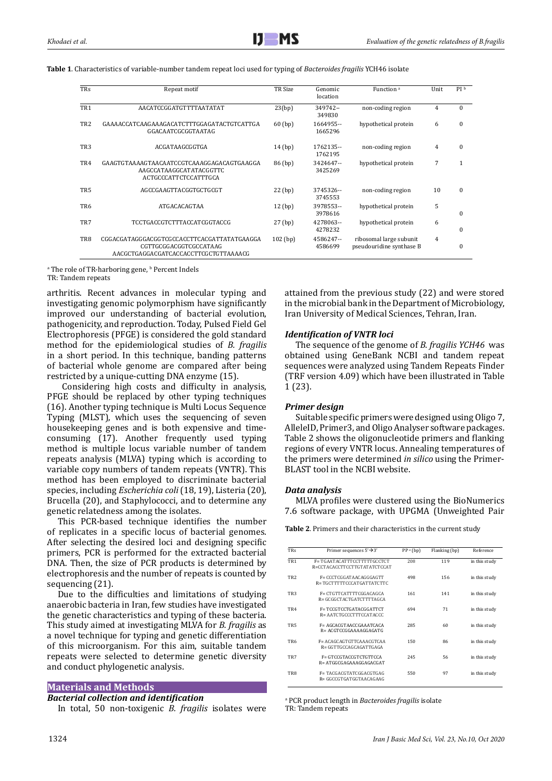| <b>TRs</b>      | Repeat motif                                                                                                   | TR Size    | Genomic<br>location   | Function <sup>a</sup>                               | Unit | PI b         |
|-----------------|----------------------------------------------------------------------------------------------------------------|------------|-----------------------|-----------------------------------------------------|------|--------------|
| TR <sub>1</sub> | AACATCCGGATGTTTTAATATAT                                                                                        | 23(bp)     | 349742--<br>349830    | non-coding region                                   | 4    | $\Omega$     |
| TR <sub>2</sub> | GAAAACCATCAAGAAAGACATCTTTGGAGATACTGTCATTGA<br>GGACAATCGCGGTAATAG                                               | $60$ (bp)  | 1664955 --<br>1665296 | hypothetical protein                                | 6    | $\Omega$     |
| TR <sub>3</sub> | ACGATAAGCGGTGA                                                                                                 | $14$ (bp)  | 1762135--<br>1762195  | non-coding region                                   | 4    | $\mathbf{0}$ |
| TR4             | GAAGTGTAAAAGTAACAATCCGTCAAAGGAGACAGTGAAGGA<br>AAGCCATAAGGCATATACGGTTC<br>ACTGCCCATTCTCCATTTGCA                 | 86 (bp)    | 3424647--<br>3425269  | hypothetical protein                                | 7    | 1            |
| TR <sub>5</sub> | AGCCGAAGTTACGGTGCTGCGT                                                                                         | $22$ (bp)  | 3745326--<br>3745553  | non-coding region                                   | 10   | $\Omega$     |
| TR <sub>6</sub> | ATGACACAGTAA                                                                                                   | $12$ (bp)  | 3978553--<br>3978616  | hypothetical protein                                | 5    | $\Omega$     |
| TR7             | TCCTGACCGTCTTTACCATCGGTACCG                                                                                    | $27$ (bp)  | 4278063--<br>4278232  | hypothetical protein                                | 6    | $\Omega$     |
| TR8             | CGGACGATAGGGACGGTCGCCACCTTCACGATTATATGAAGGA<br>CGTTGCGGACGGTCGCCATAAG<br>AACGCTGAGGACGATCACCACCTTCGCTGTTAAAACG | $102$ (bp) | 4586247--<br>4586699  | ribosomal large subunit<br>pseudouridine synthase B | 4    | $\mathbf{0}$ |

**Table 1**. Characteristics of variable-number tandem repeat loci used for typing of *Bacteroides fragilis* YCH46 isolate

a The role of TR-harboring gene, <sup>b</sup> Percent Indels TR: Tandem repeats

arthritis. Recent advances in molecular typing and investigating genomic polymorphism have significantly improved our understanding of bacterial evolution, pathogenicity, and reproduction. Today, Pulsed Field Gel Electrophoresis (PFGE) is considered the gold standard method for the epidemiological studies of *B. fragilis* in a short period. In this technique, banding patterns of bacterial whole genome are compared after being restricted by a unique-cutting DNA enzyme (15).

 Considering high costs and difficulty in analysis, PFGE should be replaced by other typing techniques (16). Another typing technique is Multi Locus Sequence Typing (MLST), which uses the sequencing of seven housekeeping genes and is both expensive and timeconsuming (17). Another frequently used typing method is multiple locus variable number of tandem repeats analysis (MLVA) typing which is according to variable copy numbers of tandem repeats (VNTR). This method has been employed to discriminate bacterial species, including *Escherichia coli* (18, 19), Listeria (20), Brucella (20), and Staphylococci, and to determine any genetic relatedness among the isolates.

This PCR-based technique identifies the number of replicates in a specific locus of bacterial genomes. After selecting the desired loci and designing specific primers, PCR is performed for the extracted bacterial DNA. Then, the size of PCR products is determined by electrophoresis and the number of repeats is counted by sequencing (21).

Due to the difficulties and limitations of studying anaerobic bacteria in Iran, few studies have investigated the genetic characteristics and typing of these bacteria. This study aimed at investigating MLVA for *B. fragilis* as a novel technique for typing and genetic differentiation of this microorganism. For this aim, suitable tandem repeats were selected to determine genetic diversity and conduct phylogenetic analysis.

# **Materials and Methods**

# *Bacterial collection and identification*

In total, 50 non-toxigenic *B. fragilis* isolates were

1324

attained from the previous study (22) and were stored in the microbial bank in the Department of Microbiology, Iran University of Medical Sciences, Tehran, Iran.

# *Identification of VNTR loci*

The sequence of the genome of *B. fragilis YCH46* was obtained using GeneBank NCBI and tandem repeat sequences were analyzed using Tandem Repeats Finder (TRF version 4.09) which have been illustrated in Table 1 (23).

# *Primer design*

Suitable specific primers were designed using Oligo 7, AlleleID, Primer3, and Oligo Analyser software packages. Table 2 shows the oligonucleotide primers and flanking regions of every VNTR locus. Annealing temperatures of the primers were determined *in silico* using the Primer-BLAST tool in the NCBI website.

# *Data analysis*

MLVA profiles were clustered using the BioNumerics 7.6 software package, with UPGMA (Unweighted Pair

**Table 2**. Primers and their characteristics in the current study

| <b>TRs</b>      | Primer sequences $5' \rightarrow 3'$                       | $PP^a$ (bp) | Flanking (bp) | Reference     |
|-----------------|------------------------------------------------------------|-------------|---------------|---------------|
| TR <sub>1</sub> | F=TGAATACATTTCCTTTTTGCCTCT<br>R=CCTACACCTTCCTTGTATATCTCCAT | 208         | 119           | in this study |
| TR <sub>2</sub> | F= CCCTCGGATAACAGGGAGTT<br>R=TGCTTTTTCCCATGATTATCTTC       | 498         | 156           | in this study |
| TR <sub>3</sub> | F= CTGTTCATTTTCGGACAGCA<br>$R = GCGGCTACTGATCTTTTAGCA$     | 161         | 141           | in this study |
| TR4             | F=TCCGTCCTGATACGGATTCT<br>R= AATCTGCCCTTTCCATACCC          | 694         | 71            | in this study |
| TR <sub>5</sub> | F= AGCACGTAACCGAAATCACA<br>R= ACGTCCGGAAAAGGAGATG          | 285         | 60            | in this study |
| TR <sub>6</sub> | F= ACAGCAGTGTTCAAACGTCAA<br>$R = GGTTGCCAGCAGATTGAGA$      | 150         | 86            | in this study |
| TR7             | F= GTCCGTACCGTCTGTTCCA<br>$R = ATGGCGAGAAAGGAGACGAT$       | 245         | 56            | in this study |
| TR8             | F= TACGACGTATCGGACGTGAG<br>$R = GGCCGTGATGGTAACAGAG$       | 550         | 97            | in this study |

a PCR product length in *Bacteroides fragilis* isolate TR: Tandem repeats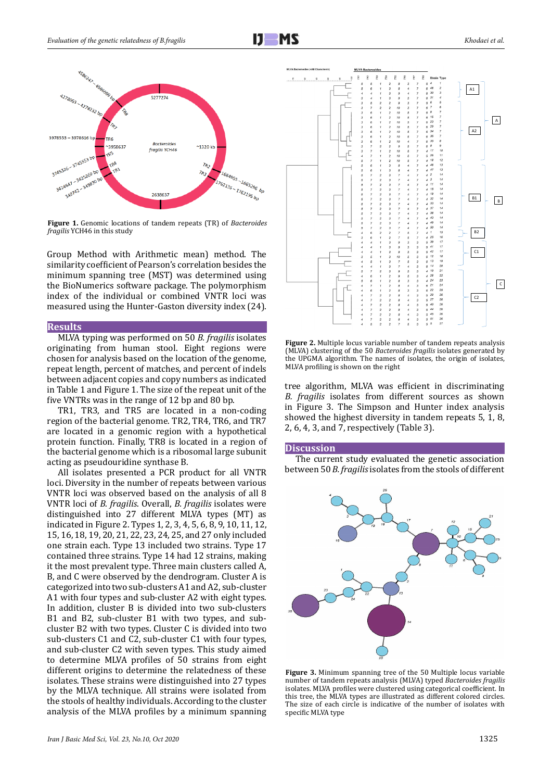



**Figure 1.** Genomic locations of tandem repeats (TR) of *Bacteroides fragilis* YCH46 in this study

Group Method with Arithmetic mean) method. The similarity coefficient of Pearson's correlation besides the minimum spanning tree (MST) was determined using the BioNumerics software package. The polymorphism index of the individual or combined VNTR loci was measured using the Hunter-Gaston diversity index (24).

#### **Results**

MLVA typing was performed on 50 *B. fragilis* isolates originating from human stool. Eight regions were chosen for analysis based on the location of the genome, repeat length, percent of matches, and percent of indels between adjacent copies and copy numbers as indicated in Table 1 and Figure 1. The size of the repeat unit of the five VNTRs was in the range of 12 bp and 80 bp.

TR1, TR3, and TR5 are located in a non-coding region of the bacterial genome. TR2, TR4, TR6, and TR7 are located in a genomic region with a hypothetical protein function. Finally, TR8 is located in a region of the bacterial genome which is a ribosomal large subunit acting as pseudouridine synthase B.

All isolates presented a PCR product for all VNTR loci. Diversity in the number of repeats between various VNTR loci was observed based on the analysis of all 8 VNTR loci of *B. fragilis*. Overall, *B. fragilis* isolates were distinguished into 27 different MLVA types (MT) as indicated in Figure 2. Types 1, 2, 3, 4, 5, 6, 8, 9, 10, 11, 12, 15, 16, 18, 19, 20, 21, 22, 23, 24, 25, and 27 only included one strain each. Type 13 included two strains. Type 17 contained three strains. Type 14 had 12 strains, making it the most prevalent type. Three main clusters called A, B, and C were observed by the dendrogram. Cluster A is categorized into two sub-clusters A1 and A2, sub-cluster A1 with four types and sub-cluster A2 with eight types. In addition, cluster B is divided into two sub-clusters B1 and B2, sub-cluster B1 with two types, and subcluster B2 with two types. Cluster C is divided into two sub-clusters C1 and C2, sub-cluster C1 with four types, and sub-cluster C2 with seven types. This study aimed to determine MLVA profiles of 50 strains from eight different origins to determine the relatedness of these isolates. These strains were distinguished into 27 types by the MLVA technique. All strains were isolated from the stools of healthy individuals. According to the cluster analysis of the MLVA profiles by a minimum spanning



**Figure 2.** Multiple locus variable number of tandem repeats analysis (MLVA) clustering of the 50 *Bacteroides fragilis* isolates generated by the UPGMA algorithm. The names of isolates, the origin of isolates, MLVA profiling is shown on the right

tree algorithm, MLVA was efficient in discriminating *B. fragilis* isolates from different sources as shown in Figure 3. The Simpson and Hunter index analysis showed the highest diversity in tandem repeats 5, 1, 8, 2, 6, 4, 3, and 7, respectively (Table 3).

#### **Discussion**

The current study evaluated the genetic association between 50 *B. fragilis* isolates from the stools of different



**Figure 3.** Minimum spanning tree of the 50 Multiple locus variable number of tandem repeats analysis (MLVA) typed *Bacteroides fragilis* isolates. MLVA profiles were clustered using categorical coefficient. In this tree, the MLVA types are illustrated as different colored circles. The size of each circle is indicative of the number of isolates with specific MLVA type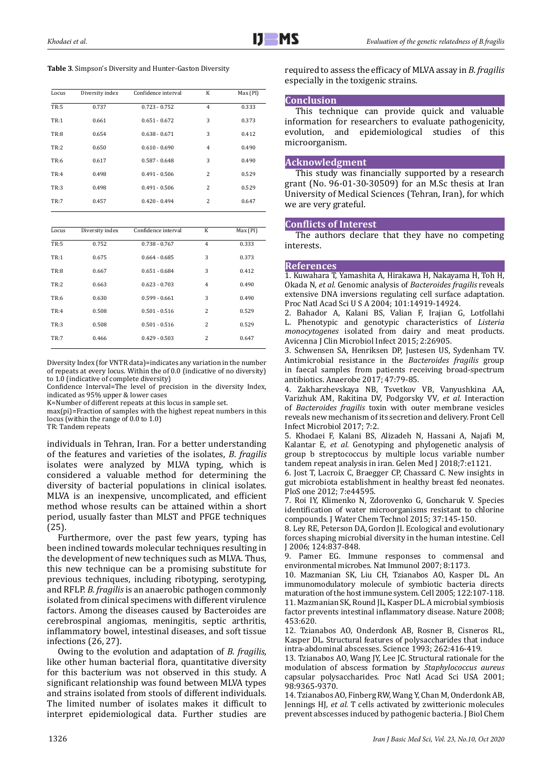**Table 3**. Simpson's Diversity and Hunter-Gaston Diversity

| Locus       | Diversity index | Confidence interval | K              | Max (PI) |
|-------------|-----------------|---------------------|----------------|----------|
| <b>TR:5</b> | 0.737           | $0.723 - 0.752$     | $\overline{4}$ | 0.333    |
| TR:1        | 0.661           | $0.651 - 0.672$     | 3              | 0.373    |
| TR:8        | 0.654           | $0.638 - 0.671$     | 3              | 0.412    |
| TR:2        | 0.650           | $0.610 - 0.690$     | $\overline{4}$ | 0.490    |
| TR:6        | 0.617           | $0.587 - 0.648$     | 3              | 0.490    |
| TR:4        | 0.498           | $0.491 - 0.506$     | $\overline{c}$ | 0.529    |
| <b>TR:3</b> | 0.498           | $0.491 - 0.506$     | $\overline{c}$ | 0.529    |
| TR:7        | 0.457           | $0.420 - 0.494$     | $\overline{c}$ | 0.647    |
|             |                 |                     |                |          |

| Locus | Diversity index | Confidence interval | K              | Max (PI) |
|-------|-----------------|---------------------|----------------|----------|
| TR:5  | 0.752           | $0.738 - 0.767$     | $\overline{4}$ | 0.333    |
| TR:1  | 0.675           | $0.664 - 0.685$     | 3              | 0.373    |
| TR:8  | 0.667           | $0.651 - 0.684$     | 3              | 0.412    |
| TR:2  | 0.663           | $0.623 - 0.703$     | $\overline{4}$ | 0.490    |
| TR:6  | 0.630           | $0.599 - 0.661$     | 3              | 0.490    |
| TR:4  | 0.508           | $0.501 - 0.516$     | $\overline{c}$ | 0.529    |
| TR:3  | 0.508           | $0.501 - 0.516$     | 2              | 0.529    |
| TR:7  | 0.466           | $0.429 - 0.503$     | 2              | 0.647    |

Diversity Index (for VNTR data)=indicates any variation in the number of repeats at every locus. Within the of 0.0 (indicative of no diversity) to 1.0 (indicative of complete diversity)

Confidence Interval=The level of precision in the diversity Index, indicated as 95% upper & lower cases

K=Number of different repeats at this locus in sample set.

max(pi)=Fraction of samples with the highest repeat numbers in this locus (within the range of 0.0 to 1.0)

TR: Tandem repeats

individuals in Tehran, Iran. For a better understanding of the features and varieties of the isolates, *B*. *fragilis* isolates were analyzed by MLVA typing, which is considered a valuable method for determining the diversity of bacterial populations in clinical isolates. MLVA is an inexpensive, uncomplicated, and efficient method whose results can be attained within a short period, usually faster than MLST and PFGE techniques (25).

Furthermore, over the past few years, typing has been inclined towards molecular techniques resulting in the development of new techniques such as MLVA. Thus, this new technique can be a promising substitute for previous techniques, including ribotyping, serotyping, and RFLP. *B. fragilis* is an anaerobic pathogen commonly isolated from clinical specimens with different virulence factors. Among the diseases caused by Bacteroides are cerebrospinal angiomas, meningitis, septic arthritis, inflammatory bowel, intestinal diseases, and soft tissue infections (26, 27).

Owing to the evolution and adaptation of *B. fragilis*, like other human bacterial flora, quantitative diversity for this bacterium was not observed in this study. A significant relationship was found between MLVA types and strains isolated from stools of different individuals. The limited number of isolates makes it difficult to interpret epidemiological data. Further studies are

required to assess the efficacy of MLVA assay in *B. fragilis* especially in the toxigenic strains.

#### **Conclusion**

This technique can provide quick and valuable information for researchers to evaluate pathogenicity, evolution, and epidemiological studies of this microorganism.

#### **Acknowledgment**

This study was financially supported by a research grant (No. 96-01-30-30509) for an M.Sc thesis at Iran University of Medical Sciences (Tehran, Iran), for which we are very grateful.

#### **Conflicts of Interest**

The authors declare that they have no competing interests.

# **References**

1. Kuwahara T, Yamashita A, Hirakawa H, Nakayama H, Toh H, Okada N*, et al.* Genomic analysis of *Bacteroides fragilis* reveals extensive DNA inversions regulating cell surface adaptation. Proc Natl Acad Sci U S A 2004; 101:14919-14924.

2. Bahador A, Kalani BS, Valian F, Irajian G, Lotfollahi L. Phenotypic and genotypic characteristics of Listeria L. Phenotypic and genotypic characteristics of *Listeria monocytogenes* isolated from dairy and meat products. Avicenna J Clin Microbiol Infect 2015; 2:26905.

3. Schwensen SA, Henriksen DP, Justesen US, Sydenham TV. Antimicrobial resistance in the *Bacteroides fragilis* group in faecal samples from patients receiving broad-spectrum antibiotics. Anaerobe 2017; 47:79-85.

4. Zakharzhevskaya NB, Tsvetkov VB, Vanyushkina AA, Varizhuk AM, Rakitina DV, Podgorsky VV*, et al.* Interaction of *Bacteroides fragilis* toxin with outer membrane vesicles reveals new mechanism of its secretion and delivery. Front Cell Infect Microbiol 2017; 7:2.

5. Khodaei F, Kalani BS, Alizadeh N, Hassani A, Najafi M, Kalantar E*, et al.* Genotyping and phylogenetic analysis of group b streptococcus by multiple locus variable number tandem repeat analysis in iran. Gelen Med J 2018;7:e1121.

6. Jost T, Lacroix C, Braegger CP, Chassard C. New insights in gut microbiota establishment in healthy breast fed neonates. PloS one 2012; 7:e44595.

7. Roi IY, Klimenko N, Zdorovenko G, Goncharuk V. Species identification of water microorganisms resistant to chlorine compounds. J Water Chem Technol 2015; 37:145-150.

8. Ley RE, Peterson DA, Gordon JI. Ecological and evolutionary forces shaping microbial diversity in the human intestine. Cell J 2006; 124:837-848.<br>9 Pamer FG Imr

Pamer EG. Immune responses to commensal and environmental microbes. Nat Immunol 2007; 8:1173.

10. Mazmanian SK, Liu CH, Tzianabos AO, Kasper DL. An immunomodulatory molecule of symbiotic bacteria directs maturation of the host immune system. Cell 2005; 122:107-118. 11. Mazmanian SK, Round JL, Kasper DL. A microbial symbiosis factor prevents intestinal inflammatory disease. Nature 2008; 453:620.

12. Tzianabos AO, Onderdonk AB, Rosner B, Cisneros RL, Kasper DL. Structural features of polysaccharides that induce intra-abdominal abscesses. Science 1993; 262:416-419.

13. Tzianabos AO, Wang JY, Lee JC. Structural rationale for the modulation of abscess formation by *Staphylococcus aureus* capsular polysaccharides. Proc Natl Acad Sci USA 2001; 98:9365-9370.

14. Tzianabos AO, Finberg RW, Wang Y, Chan M, Onderdonk AB, Jennings HJ*, et al.* T cells activated by zwitterionic molecules prevent abscesses induced by pathogenic bacteria. J Biol Chem